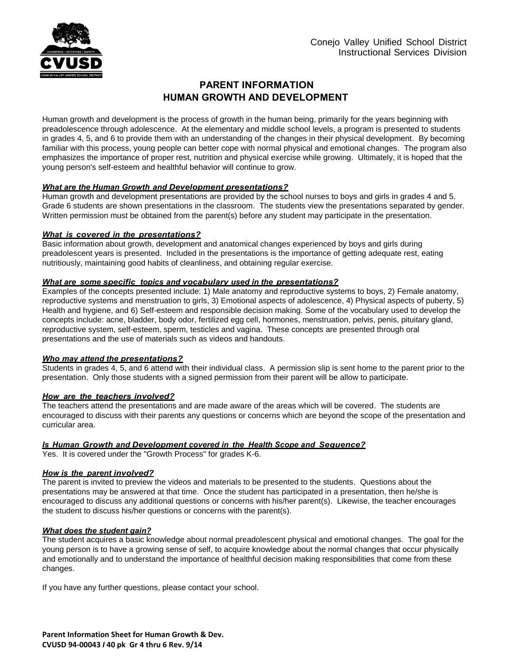

# **PARENT INFORMATION HUMAN GROWTH AND DEVELOPMENT**

Human growth and development is the process of growth in the human being, primarily for the years beginning with preadolescence through adolescence. At the elementary and middle school levels, a program is presented to students in grades 4, 5, and 6 to provide them with an understanding of the changes in their physical development. By becoming familiar with this process, young people can better cope with normal physical and emotional changes. The program also emphasizes the importance of proper rest, nutrition and physical exercise while growing. Ultimately, it is hoped that the young person's self-esteem and healthful behavior will continue to grow.

### *What are the Human Growth and Development presentations?*

Human growth and development presentations are provided by the school nurses to boys and girls in grades 4 and 5. Grade 6 students are shown presentations in the classroom. The students view the presentations separated by gender. Written permission must be obtained from the parent(s) before any student may participate in the presentation.

### *What is covered in the presentations?*

Basic information about growth, development and anatomical changes experienced by boys and girls during preadolescent years is presented. Included in the presentations is the importance of getting adequate rest, eating nutritiously, maintaining good habits of cleanliness, and obtaining regular exercise.

# *What are some specific topics and vocabulary used in the presentations?*

Examples of the concepts presented include: 1) Male anatomy and reproductive systems to boys, 2) Female anatomy, reproductive systems and menstruation to girls, 3) Emotional aspects of adolescence, 4) Physical aspects of puberty, 5) Health and hygiene, and 6) Self-esteem and responsible decision making. Some of the vocabulary used to develop the concepts include: acne, bladder, body odor, fertilized egg cell, hormones, menstruation, pelvis, penis, pituitary gland, reproductive system, self-esteem, sperm, testicles and vagina. These concepts are presented through oral presentations and the use of materials such as videos and handouts.

### *Who may attend the presentations?*

Students in grades 4, 5, and 6 attend with their individual class. A permission slip is sent home to the parent prior to the presentation. Only those students with a signed permission from their parent will be allow to participate.

### *How are the teachers involved?*

The teachers attend the presentations and are made aware of the areas which will be covered. The students are encouraged to discuss with their parents any questions or concerns which are beyond the scope of the presentation and curricular area.

# *Is Human Growth and Development covered in the Health Scope and Sequence?*

Yes. It is covered under the "Growth Process" for grades K-6.

### *How is the parent involved?*

The parent is invited to preview the videos and materials to be presented to the students. Questions about the presentations may be answered at that time. Once the student has participated in a presentation, then he/she is encouraged to discuss any additional questions or concerns with his/her parent(s). Likewise, the teacher encourages the student to discuss his/her questions or concerns with the parent(s).

### *What does the student gain?*

The student acquires a basic knowledge about normal preadolescent physical and emotional changes. The goal for the young person is to have a growing sense of self, to acquire knowledge about the normal changes that occur physically and emotionally and to understand the importance of healthful decision making responsibilities that come from these changes.

If you have any further questions, please contact your school.

**Parent Information Sheet for Human Growth & Dev. CVUSD 94-00043** *I* **40 pk Gr 4 thru 6 Rev. 9/14**